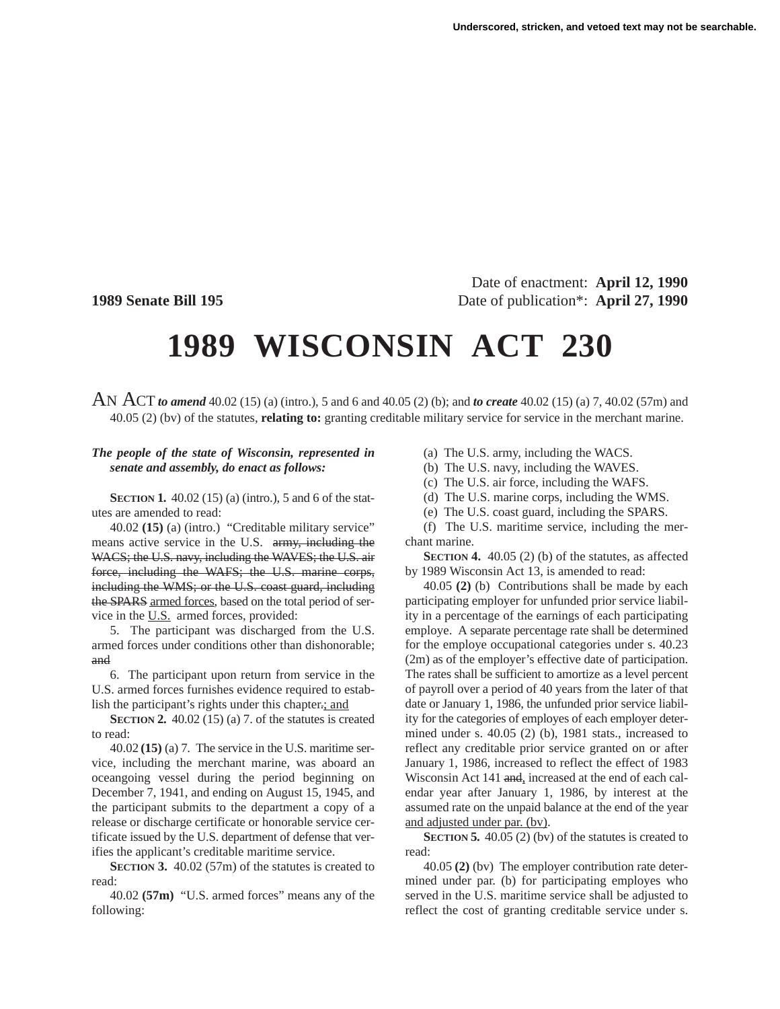Date of enactment: **April 12, 1990 1989 Senate Bill 195** Date of publication\*: **April 27, 1990** 

## **1989 WISCONSIN ACT 230**

AN ACT *to amend* 40.02 (15) (a) (intro.), 5 and 6 and 40.05 (2) (b); and *to create* 40.02 (15) (a) 7, 40.02 (57m) and 40.05 (2) (bv) of the statutes, **relating to:** granting creditable military service for service in the merchant marine.

## *The people of the state of Wisconsin, represented in senate and assembly, do enact as follows:*

**SECTION 1.** 40.02 (15) (a) (intro.), 5 and 6 of the statutes are amended to read:

40.02 **(15)** (a) (intro.) "Creditable military service" means active service in the U.S. army, including the WACS; the U.S. navy, including the WAVES; the U.S. air force, including the WAFS; the U.S. marine corps, including the WMS; or the U.S. coast guard, including the SPARS armed forces, based on the total period of service in the U.S. armed forces, provided:

5. The participant was discharged from the U.S. armed forces under conditions other than dishonorable; and

6. The participant upon return from service in the U.S. armed forces furnishes evidence required to establish the participant's rights under this chapter.; and

**SECTION 2.** 40.02 (15) (a) 7. of the statutes is created to read:

40.02 **(15)** (a) 7. The service in the U.S. maritime service, including the merchant marine, was aboard an oceangoing vessel during the period beginning on December 7, 1941, and ending on August 15, 1945, and the participant submits to the department a copy of a release or discharge certificate or honorable service certificate issued by the U.S. department of defense that verifies the applicant's creditable maritime service.

**SECTION 3.** 40.02 (57m) of the statutes is created to read:

40.02 **(57m)** "U.S. armed forces" means any of the following:

- (a) The U.S. army, including the WACS.
- (b) The U.S. navy, including the WAVES.
- (c) The U.S. air force, including the WAFS.
- (d) The U.S. marine corps, including the WMS.
- (e) The U.S. coast guard, including the SPARS.

(f) The U.S. maritime service, including the merchant marine.

**SECTION 4.** 40.05 (2) (b) of the statutes, as affected by 1989 Wisconsin Act 13, is amended to read:

40.05 **(2)** (b) Contributions shall be made by each participating employer for unfunded prior service liability in a percentage of the earnings of each participating employe. A separate percentage rate shall be determined for the employe occupational categories under s. 40.23 (2m) as of the employer's effective date of participation. The rates shall be sufficient to amortize as a level percent of payroll over a period of 40 years from the later of that date or January 1, 1986, the unfunded prior service liability for the categories of employes of each employer determined under s. 40.05 (2) (b), 1981 stats., increased to reflect any creditable prior service granted on or after January 1, 1986, increased to reflect the effect of 1983 Wisconsin Act 141 and, increased at the end of each calendar year after January 1, 1986, by interest at the assumed rate on the unpaid balance at the end of the year and adjusted under par. (bv).

**SECTION 5.** 40.05 (2) (bv) of the statutes is created to read:

40.05 **(2)** (bv) The employer contribution rate determined under par. (b) for participating employes who served in the U.S. maritime service shall be adjusted to reflect the cost of granting creditable service under s.